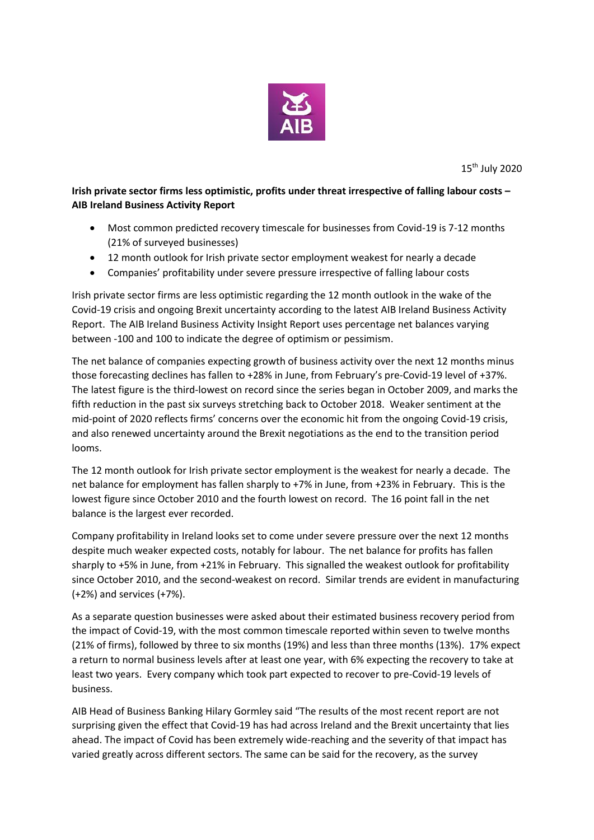

15 th July 2020

**Irish private sector firms less optimistic, profits under threat irrespective of falling labour costs – AIB Ireland Business Activity Report**

- Most common predicted recovery timescale for businesses from Covid-19 is 7-12 months (21% of surveyed businesses)
- 12 month outlook for Irish private sector employment weakest for nearly a decade
- Companies' profitability under severe pressure irrespective of falling labour costs

Irish private sector firms are less optimistic regarding the 12 month outlook in the wake of the Covid-19 crisis and ongoing Brexit uncertainty according to the latest AIB Ireland Business Activity Report. The AIB Ireland Business Activity Insight Report uses percentage net balances varying between -100 and 100 to indicate the degree of optimism or pessimism.

The net balance of companies expecting growth of business activity over the next 12 months minus those forecasting declines has fallen to +28% in June, from February's pre-Covid-19 level of +37%. The latest figure is the third-lowest on record since the series began in October 2009, and marks the fifth reduction in the past six surveys stretching back to October 2018. Weaker sentiment at the mid-point of 2020 reflects firms' concerns over the economic hit from the ongoing Covid-19 crisis, and also renewed uncertainty around the Brexit negotiations as the end to the transition period looms.

The 12 month outlook for Irish private sector employment is the weakest for nearly a decade. The net balance for employment has fallen sharply to +7% in June, from +23% in February. This is the lowest figure since October 2010 and the fourth lowest on record. The 16 point fall in the net balance is the largest ever recorded.

Company profitability in Ireland looks set to come under severe pressure over the next 12 months despite much weaker expected costs, notably for labour. The net balance for profits has fallen sharply to +5% in June, from +21% in February. This signalled the weakest outlook for profitability since October 2010, and the second-weakest on record. Similar trends are evident in manufacturing (+2%) and services (+7%).

As a separate question businesses were asked about their estimated business recovery period from the impact of Covid-19, with the most common timescale reported within seven to twelve months (21% of firms), followed by three to six months (19%) and less than three months (13%). 17% expect a return to normal business levels after at least one year, with 6% expecting the recovery to take at least two years. Every company which took part expected to recover to pre-Covid-19 levels of business.

AIB Head of Business Banking Hilary Gormley said "The results of the most recent report are not surprising given the effect that Covid-19 has had across Ireland and the Brexit uncertainty that lies ahead. The impact of Covid has been extremely wide-reaching and the severity of that impact has varied greatly across different sectors. The same can be said for the recovery, as the survey